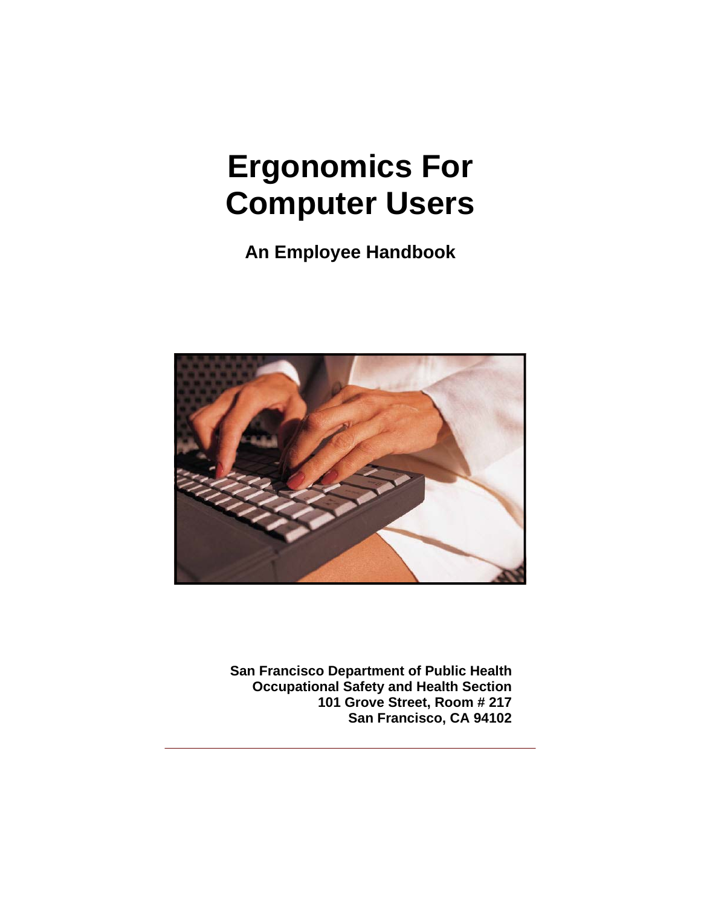**An Employee Handbook** 



**San Francisco Department of Public Health Occupational Safety and Health Section 101 Grove Street, Room # 217 San Francisco, CA 94102**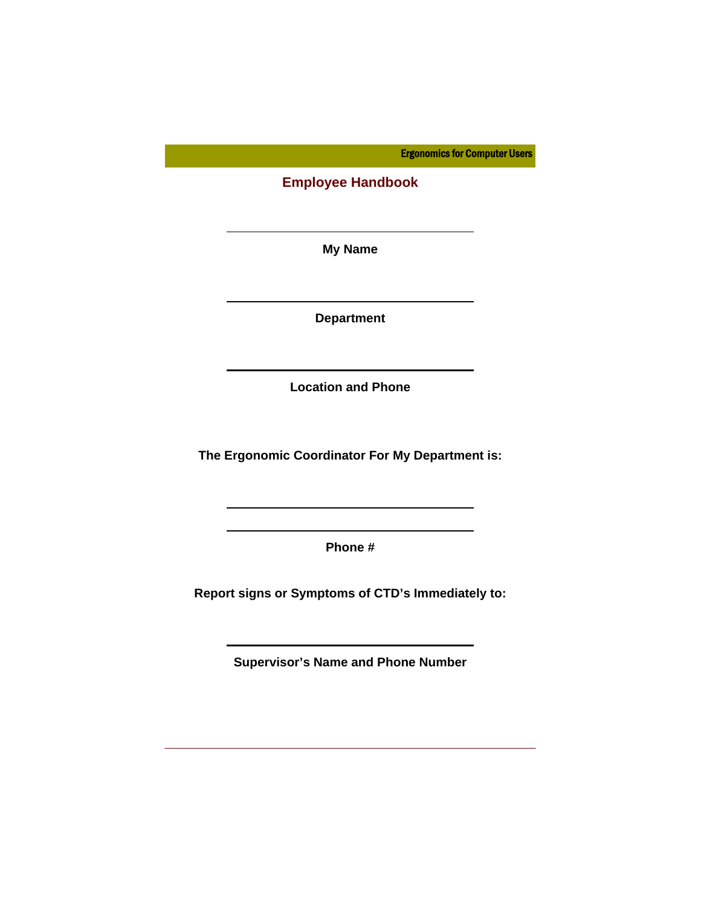**Employee Handbook** 

**My Name** 

l

**Department** 

**Location and Phone** 

**The Ergonomic Coordinator For My Department is:** 

**Phone #** 

**Report signs or Symptoms of CTD's Immediately to:** 

**Supervisor's Name and Phone Number**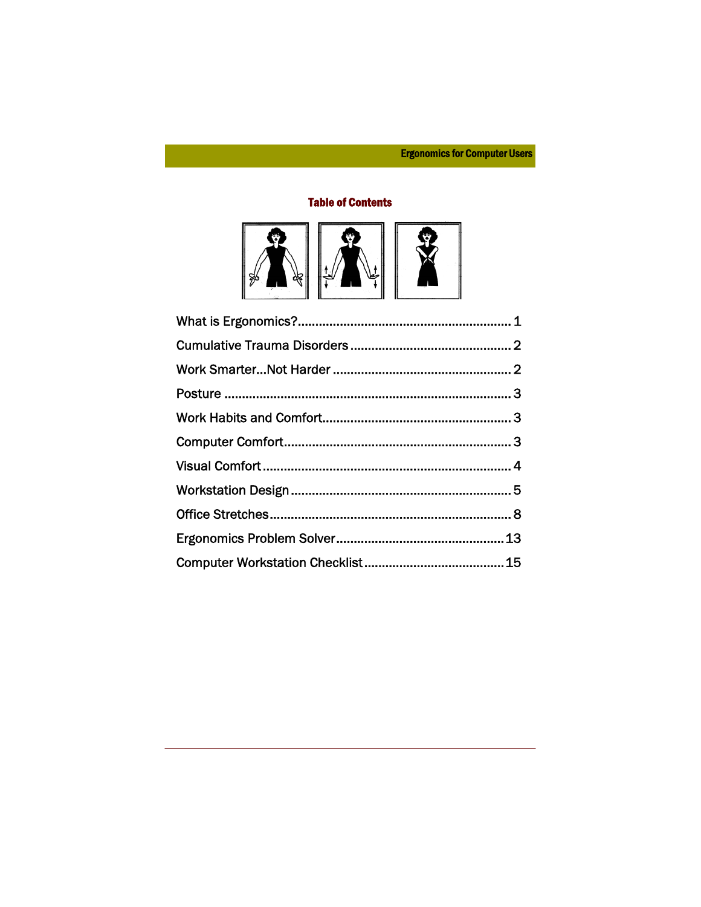## **Table of Contents**

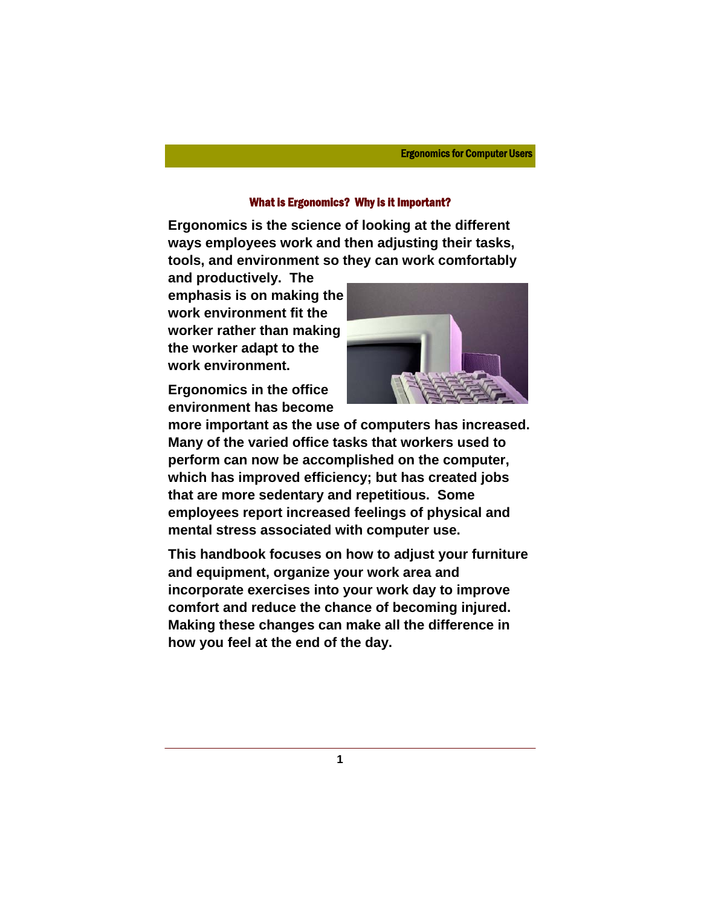## What is Ergonomics? Why is it Important?

**Ergonomics is the science of looking at the different ways employees work and then adjusting their tasks, tools, and environment so they can work comfortably** 

**and productively. The emphasis is on making the work environment fit the worker rather than making the worker adapt to the work environment.** 

**Ergonomics in the office environment has become** 



**more important as the use of computers has increased. Many of the varied office tasks that workers used to perform can now be accomplished on the computer, which has improved efficiency; but has created jobs that are more sedentary and repetitious. Some employees report increased feelings of physical and mental stress associated with computer use.** 

**This handbook focuses on how to adjust your furniture and equipment, organize your work area and incorporate exercises into your work day to improve comfort and reduce the chance of becoming injured. Making these changes can make all the difference in how you feel at the end of the day.**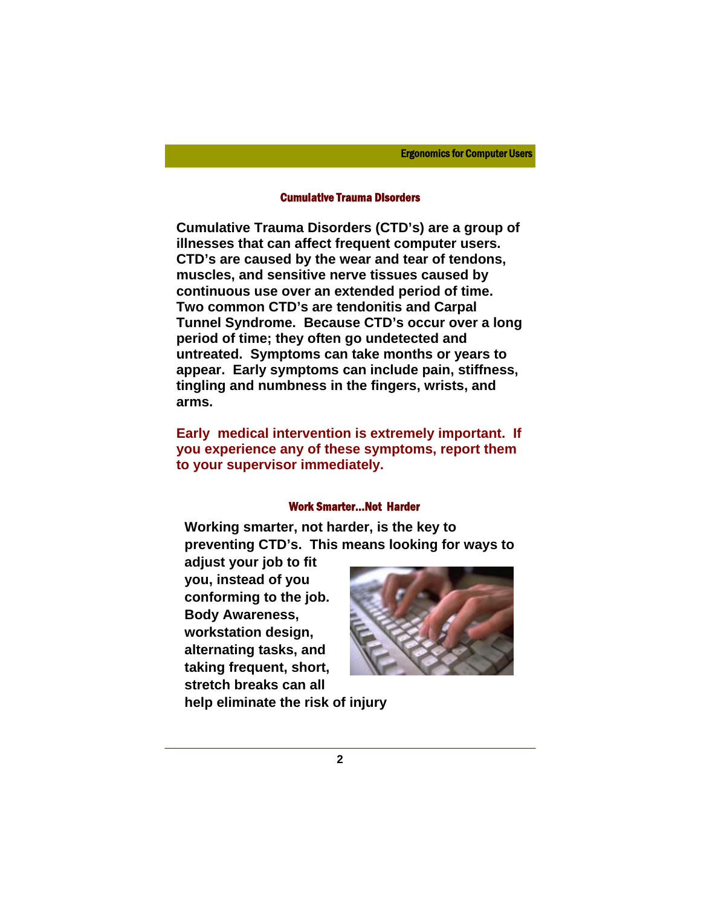#### Cumulative Trauma Disorders

**Cumulative Trauma Disorders (CTD's) are a group of illnesses that can affect frequent computer users. CTD's are caused by the wear and tear of tendons, muscles, and sensitive nerve tissues caused by continuous use over an extended period of time. Two common CTD's are tendonitis and Carpal Tunnel Syndrome. Because CTD's occur over a long period of time; they often go undetected and untreated. Symptoms can take months or years to appear. Early symptoms can include pain, stiffness, tingling and numbness in the fingers, wrists, and arms.** 

**Early medical intervention is extremely important. If you experience any of these symptoms, report them to your supervisor immediately.** 

## Work Smarter...Not Harder

**Working smarter, not harder, is the key to preventing CTD's. This means looking for ways to** 

**adjust your job to fit you, instead of you conforming to the job. Body Awareness, workstation design, alternating tasks, and taking frequent, short, stretch breaks can all** 



**help eliminate the risk of injury**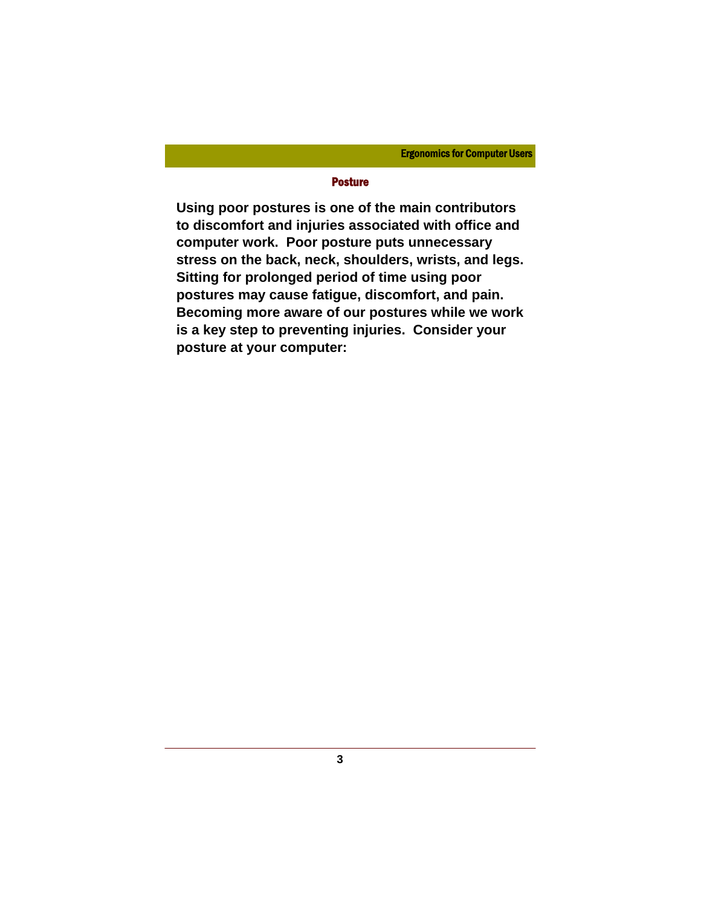## Posture

**Using poor postures is one of the main contributors to discomfort and injuries associated with office and computer work. Poor posture puts unnecessary stress on the back, neck, shoulders, wrists, and legs. Sitting for prolonged period of time using poor postures may cause fatigue, discomfort, and pain. Becoming more aware of our postures while we work is a key step to preventing injuries. Consider your posture at your computer:**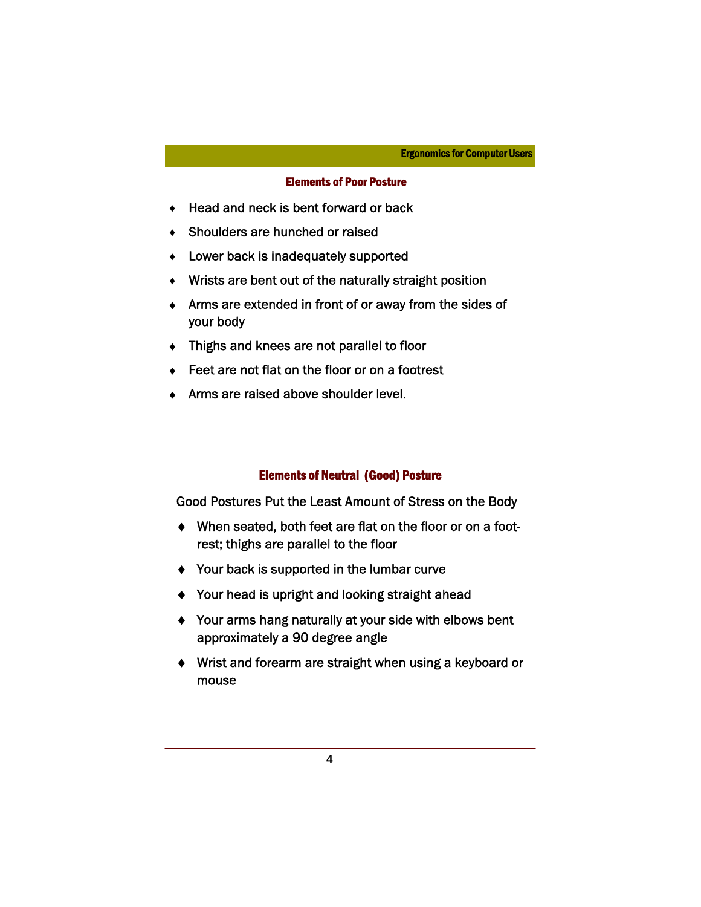## Elements of Poor Posture

- ♦ Head and neck is bent forward or back
- ♦ Shoulders are hunched or raised
- ♦ Lower back is inadequately supported
- ♦ Wrists are bent out of the naturally straight position
- ♦ Arms are extended in front of or away from the sides of your body
- ♦ Thighs and knees are not parallel to floor
- ◆ Feet are not flat on the floor or on a footrest
- ♦ Arms are raised above shoulder level.

## Elements of Neutral (Good) Posture

Good Postures Put the Least Amount of Stress on the Body

- ♦ When seated, both feet are flat on the floor or on a footrest; thighs are parallel to the floor
- ♦ Your back is supported in the lumbar curve
- ♦ Your head is upright and looking straight ahead
- ♦ Your arms hang naturally at your side with elbows bent approximately a 90 degree angle
- ♦ Wrist and forearm are straight when using a keyboard or mouse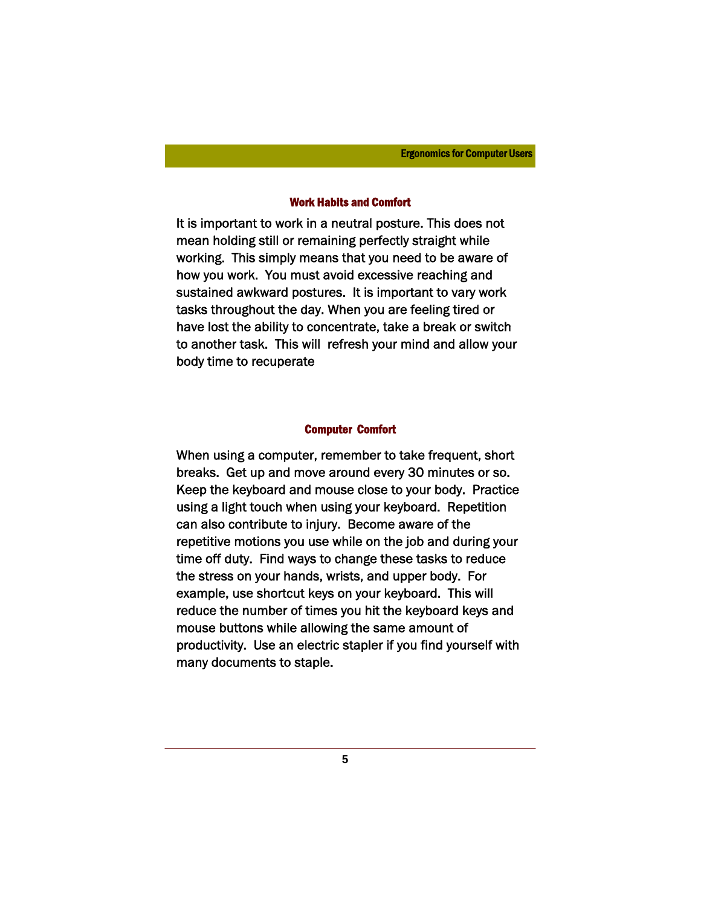#### Work Habits and Comfort

It is important to work in a neutral posture. This does not mean holding still or remaining perfectly straight while working. This simply means that you need to be aware of how you work. You must avoid excessive reaching and sustained awkward postures. It is important to vary work tasks throughout the day. When you are feeling tired or have lost the ability to concentrate, take a break or switch to another task. This will refresh your mind and allow your body time to recuperate

#### Computer Comfort

When using a computer, remember to take frequent, short breaks. Get up and move around every 30 minutes or so. Keep the keyboard and mouse close to your body. Practice using a light touch when using your keyboard. Repetition can also contribute to injury. Become aware of the repetitive motions you use while on the job and during your time off duty. Find ways to change these tasks to reduce the stress on your hands, wrists, and upper body. For example, use shortcut keys on your keyboard. This will reduce the number of times you hit the keyboard keys and mouse buttons while allowing the same amount of productivity. Use an electric stapler if you find yourself with many documents to staple.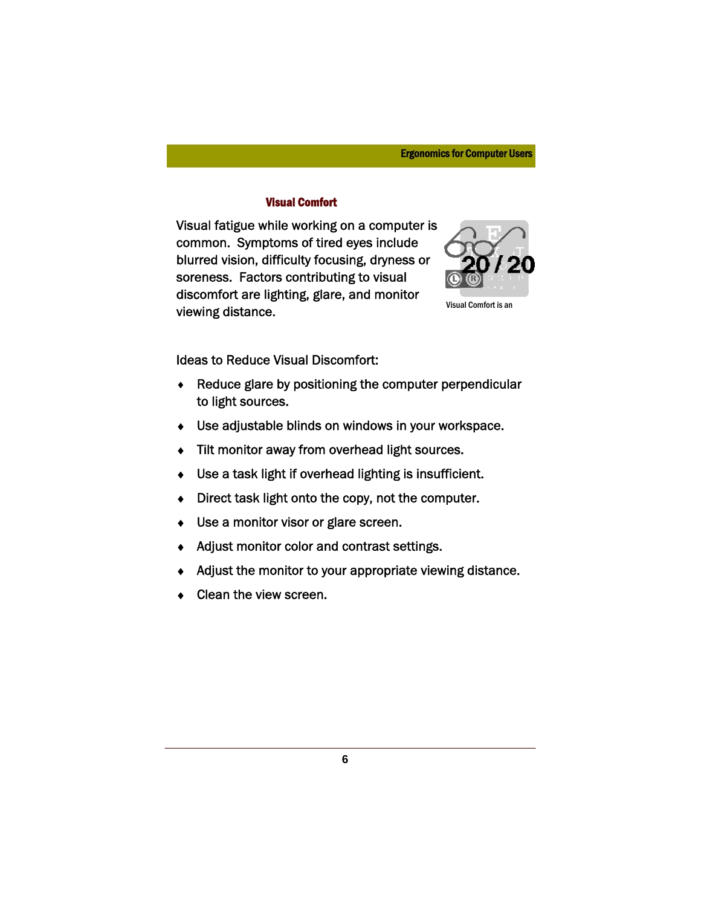## Visual Comfort

Visual fatigue while working on a computer is common. Symptoms of tired eyes include blurred vision, difficulty focusing, dryness or soreness. Factors contributing to visual discomfort are lighting, glare, and monitor viewing distance.



Visual Comfort is an

Ideas to Reduce Visual Discomfort:

- ♦ Reduce glare by positioning the computer perpendicular to light sources.
- ♦ Use adjustable blinds on windows in your workspace.
- ♦ Tilt monitor away from overhead light sources.
- ♦ Use a task light if overhead lighting is insufficient.
- ♦ Direct task light onto the copy, not the computer.
- ♦ Use a monitor visor or glare screen.
- ♦ Adjust monitor color and contrast settings.
- Adjust the monitor to your appropriate viewing distance.
- Clean the view screen.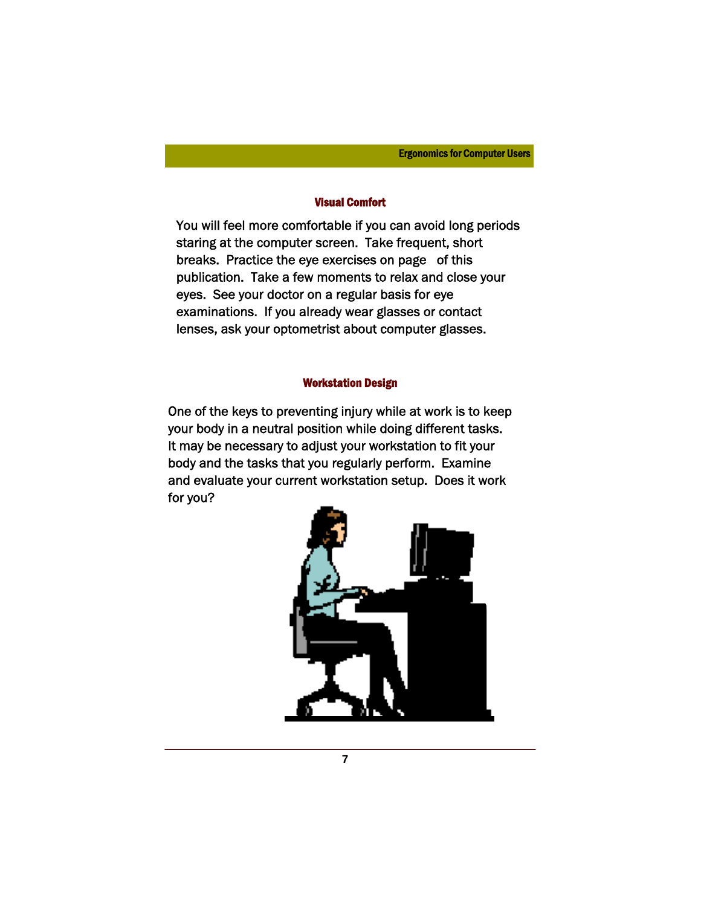## Visual Comfort

You will feel more comfortable if you can avoid long periods staring at the computer screen. Take frequent, short breaks. Practice the eye exercises on page of this publication. Take a few moments to relax and close your eyes. See your doctor on a regular basis for eye examinations. If you already wear glasses or contact lenses, ask your optometrist about computer glasses.

## Workstation Design

One of the keys to preventing injury while at work is to keep your body in a neutral position while doing different tasks. It may be necessary to adjust your workstation to fit your body and the tasks that you regularly perform. Examine and evaluate your current workstation setup. Does it work for you?

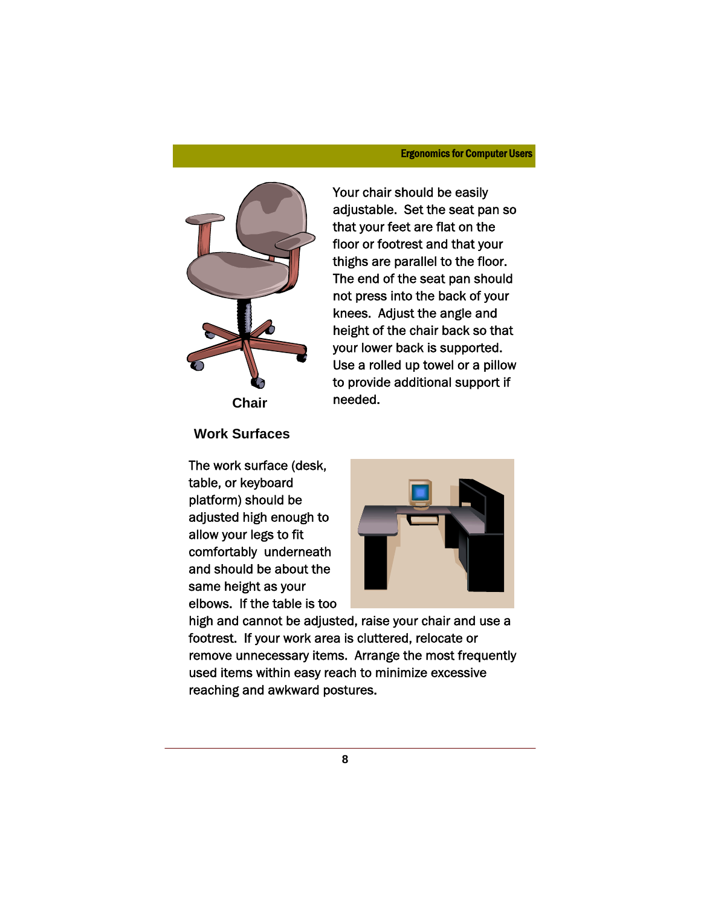

Your chair should be easily adjustable. Set the seat pan so that your feet are flat on the floor or footrest and that your thighs are parallel to the floor. The end of the seat pan should not press into the back of your knees. Adjust the angle and height of the chair back so that your lower back is supported. Use a rolled up towel or a pillow to provide additional support if needed.

**Work Surfaces** 

The work surface (desk, table, or keyboard platform) should be adjusted high enough to allow your legs to fit comfortably underneath and should be about the same height as your elbows. If the table is too



high and cannot be adjusted, raise your chair and use a footrest. If your work area is cluttered, relocate or remove unnecessary items. Arrange the most frequently used items within easy reach to minimize excessive reaching and awkward postures.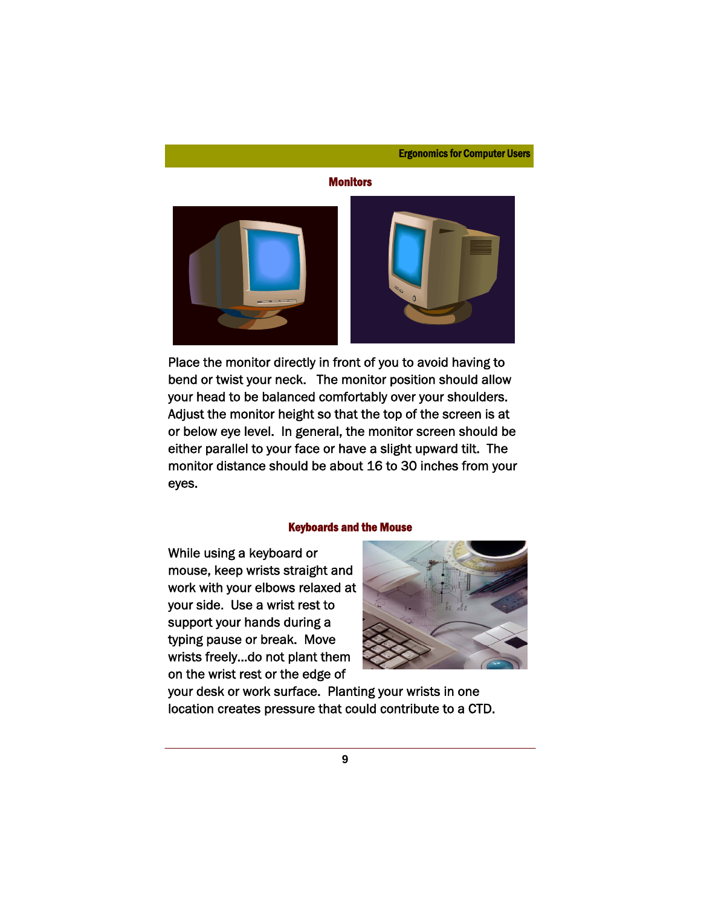#### **Monitors**



Place the monitor directly in front of you to avoid having to bend or twist your neck. The monitor position should allow your head to be balanced comfortably over your shoulders. Adjust the monitor height so that the top of the screen is at or below eye level. In general, the monitor screen should be either parallel to your face or have a slight upward tilt. The monitor distance should be about 16 to 30 inches from your eyes.

#### Keyboards and the Mouse

While using a keyboard or mouse, keep wrists straight and work with your elbows relaxed at your side. Use a wrist rest to support your hands during a typing pause or break. Move wrists freely...do not plant them on the wrist rest or the edge of



your desk or work surface. Planting your wrists in one location creates pressure that could contribute to a CTD.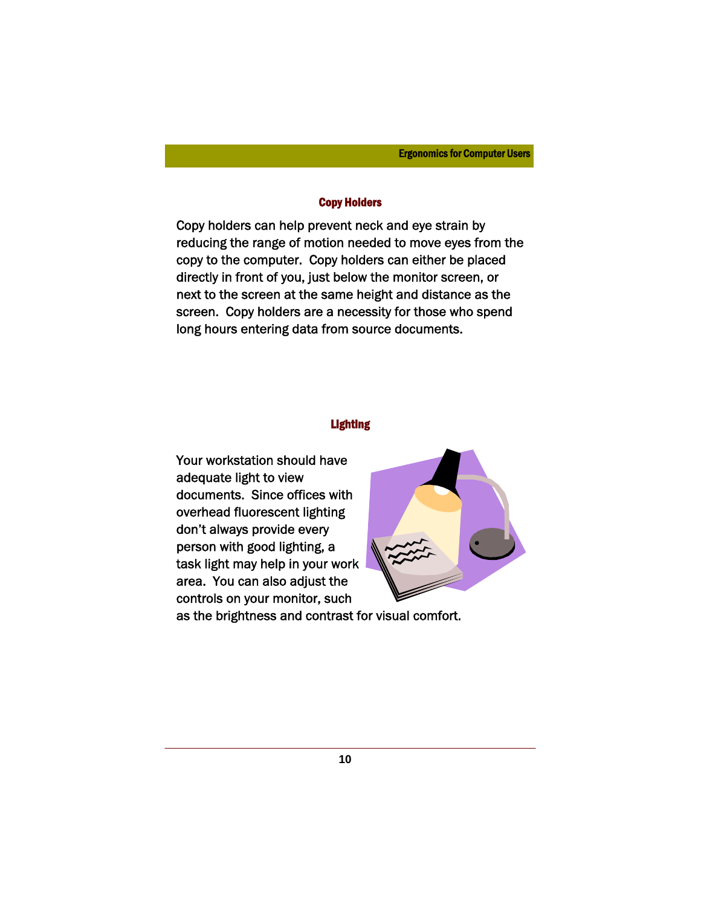#### Copy Holders

Copy holders can help prevent neck and eye strain by reducing the range of motion needed to move eyes from the copy to the computer. Copy holders can either be placed directly in front of you, just below the monitor screen, or next to the screen at the same height and distance as the screen. Copy holders are a necessity for those who spend long hours entering data from source documents.

## Lighting

Your workstation should have adequate light to view documents. Since offices with overhead fluorescent lighting don't always provide every person with good lighting, a task light may help in your work area. You can also adjust the controls on your monitor, such



as the brightness and contrast for visual comfort.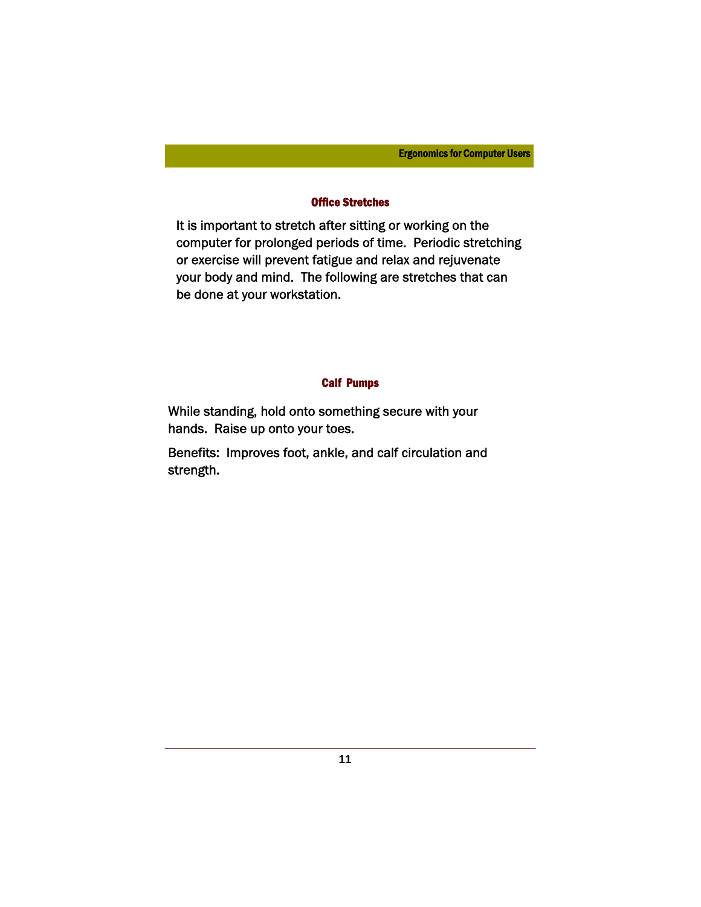## Office Stretches

It is important to stretch after sitting or working on the computer for prolonged periods of time. Periodic stretching or exercise will prevent fatigue and relax and rejuvenate your body and mind. The following are stretches that can be done at your workstation.

## Calf Pumps

While standing, hold onto something secure with your hands. Raise up onto your toes.

Benefits: Improves foot, ankle, and calf circulation and strength.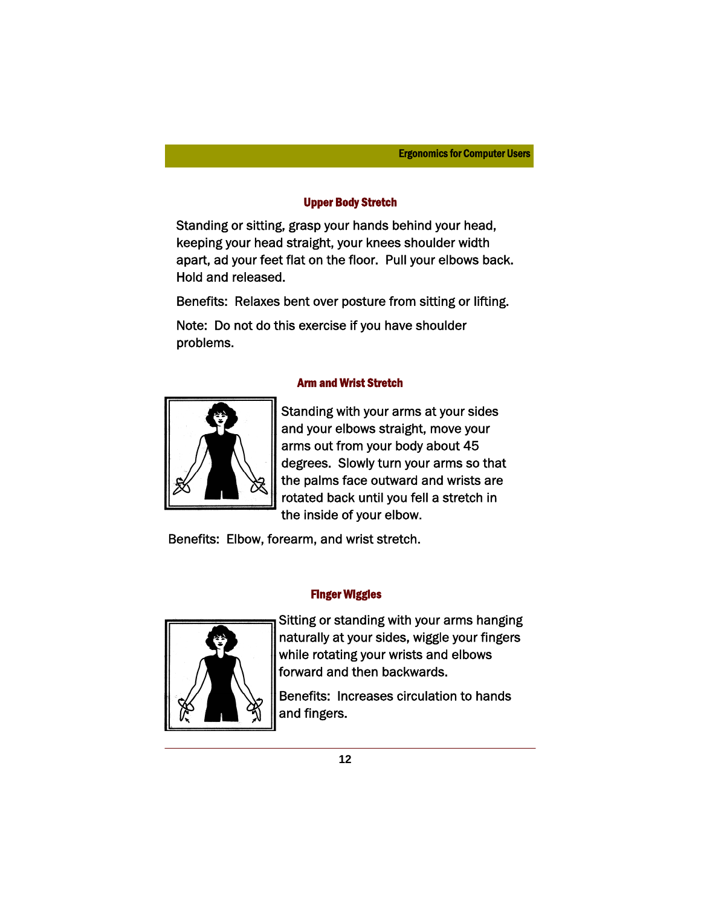## Upper Body Stretch

Standing or sitting, grasp your hands behind your head, keeping your head straight, your knees shoulder width apart, ad your feet flat on the floor. Pull your elbows back. Hold and released.

Benefits: Relaxes bent over posture from sitting or lifting.

Note: Do not do this exercise if you have shoulder problems.

## Arm and Wrist Stretch



Standing with your arms at your sides and your elbows straight, move your arms out from your body about 45 degrees. Slowly turn your arms so that the palms face outward and wrists are rotated back until you fell a stretch in the inside of your elbow.

Benefits: Elbow, forearm, and wrist stretch.

## Finger Wiggles



Sitting or standing with your arms hanging naturally at your sides, wiggle your fingers while rotating your wrists and elbows forward and then backwards.

Benefits: Increases circulation to hands and fingers.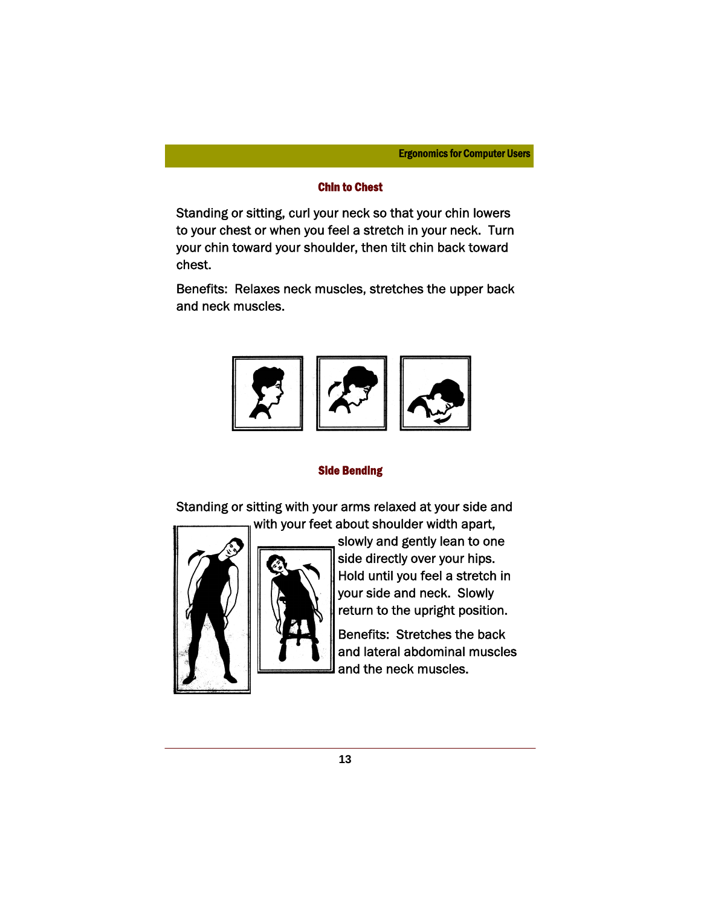## Chin to Chest

Standing or sitting, curl your neck so that your chin lowers to your chest or when you feel a stretch in your neck. Turn your chin toward your shoulder, then tilt chin back toward chest.

Benefits: Relaxes neck muscles, stretches the upper back and neck muscles.



### Side Bending

Standing or sitting with your arms relaxed at your side and with your feet about shoulder width apart,



slowly and gently lean to one side directly over your hips. Hold until you feel a stretch in your side and neck. Slowly return to the upright position.

Benefits: Stretches the back and lateral abdominal muscles and the neck muscles.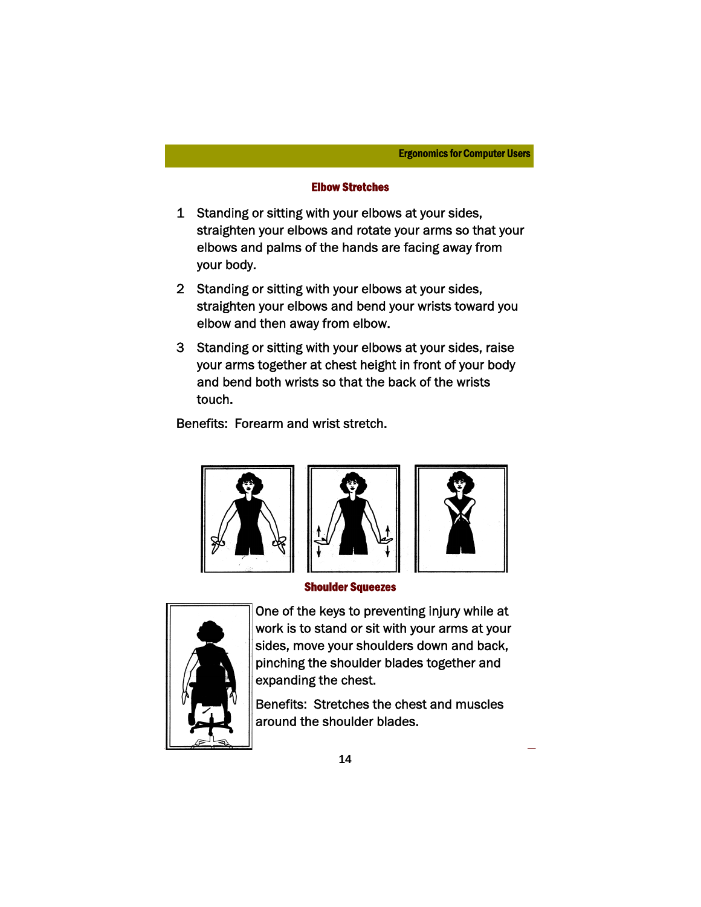## Elbow Stretches

- 1 Standing or sitting with your elbows at your sides, straighten your elbows and rotate your arms so that your elbows and palms of the hands are facing away from your body.
- 2 Standing or sitting with your elbows at your sides, straighten your elbows and bend your wrists toward you elbow and then away from elbow.
- 3 Standing or sitting with your elbows at your sides, raise your arms together at chest height in front of your body and bend both wrists so that the back of the wrists touch.

Benefits: Forearm and wrist stretch.







Shoulder Squeezes



One of the keys to preventing injury while at work is to stand or sit with your arms at your sides, move your shoulders down and back, pinching the shoulder blades together and expanding the chest.

Benefits: Stretches the chest and muscles around the shoulder blades.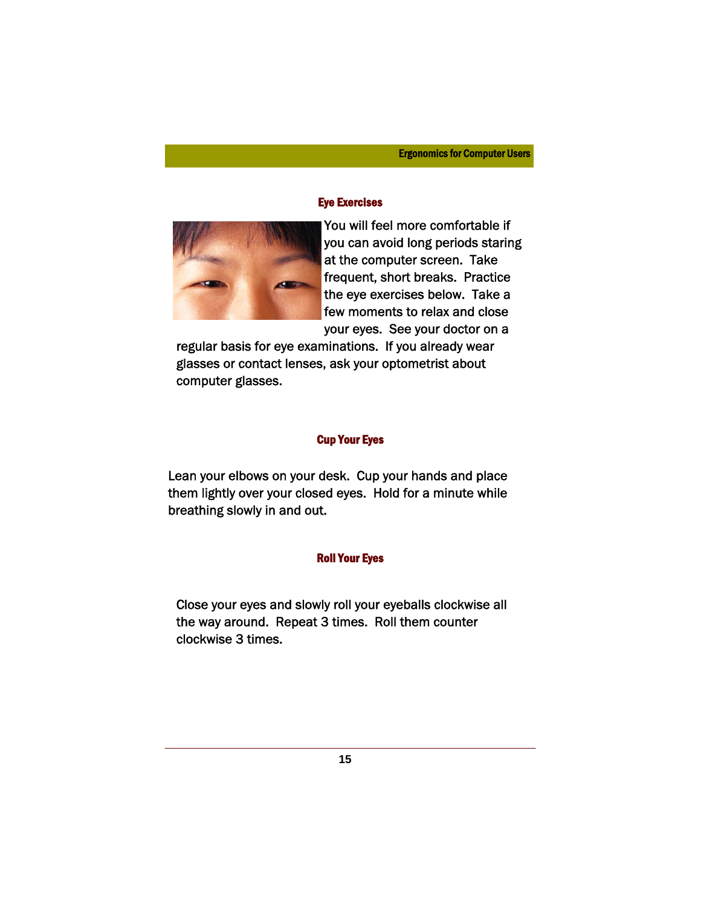## Eye Exercises



You will feel more comfortable if you can avoid long periods staring at the computer screen. Take frequent, short breaks. Practice the eye exercises below. Take a few moments to relax and close your eyes. See your doctor on a

regular basis for eye examinations. If you already wear glasses or contact lenses, ask your optometrist about computer glasses.

### Cup Your Eyes

Lean your elbows on your desk. Cup your hands and place them lightly over your closed eyes. Hold for a minute while breathing slowly in and out.

#### Roll Your Eyes

Close your eyes and slowly roll your eyeballs clockwise all the way around. Repeat 3 times. Roll them counter clockwise 3 times.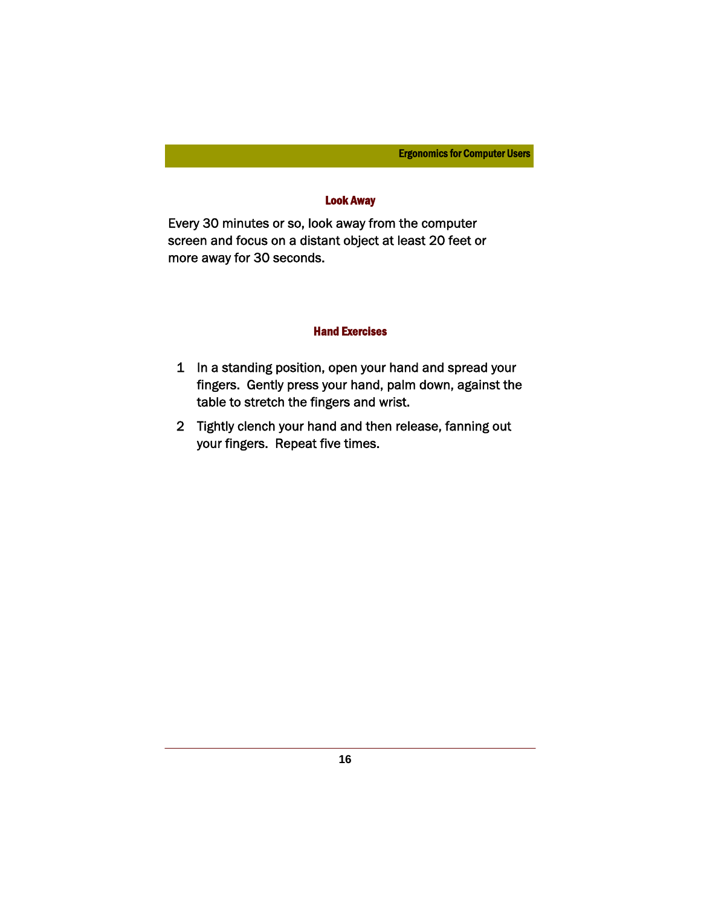## Look Away

Every 30 minutes or so, look away from the computer screen and focus on a distant object at least 20 feet or more away for 30 seconds.

## Hand Exercises

- 1 In a standing position, open your hand and spread your fingers. Gently press your hand, palm down, against the table to stretch the fingers and wrist.
- 2 Tightly clench your hand and then release, fanning out your fingers. Repeat five times.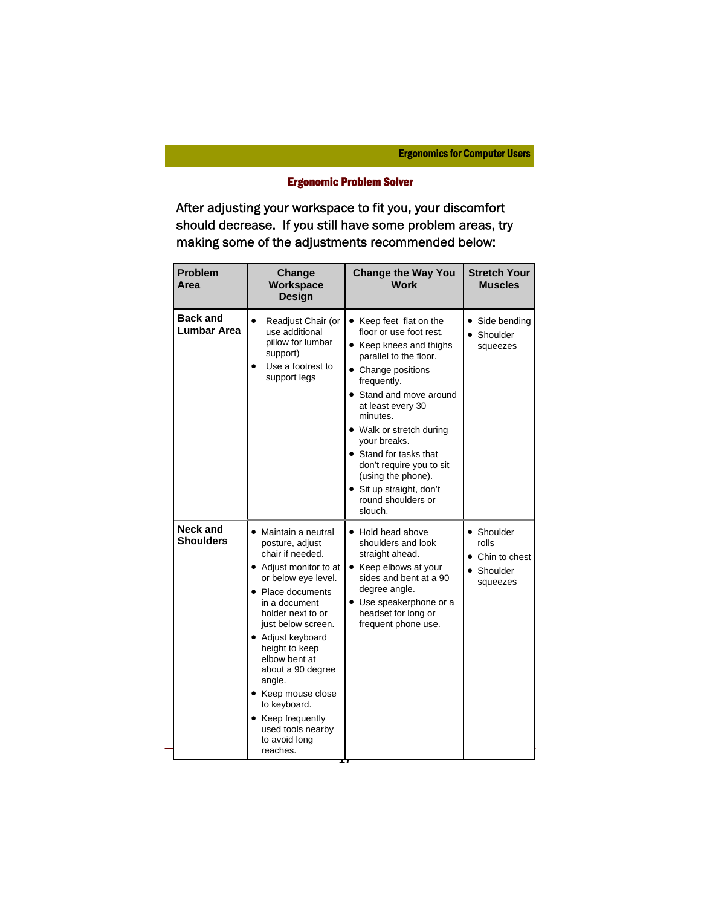# Ergonomic Problem Solver

After adjusting your workspace to fit you, your discomfort should decrease. If you still have some problem areas, try making some of the adjustments recommended below:

| <b>Problem</b><br>Area                | Change<br>Workspace<br><b>Design</b>                                                                                                                                                                                                                                                                                                                                                              | <b>Change the Way You</b><br><b>Work</b>                                                                                                                                                                                                                                                                                                                                                      | <b>Stretch Your</b><br><b>Muscles</b>                                       |
|---------------------------------------|---------------------------------------------------------------------------------------------------------------------------------------------------------------------------------------------------------------------------------------------------------------------------------------------------------------------------------------------------------------------------------------------------|-----------------------------------------------------------------------------------------------------------------------------------------------------------------------------------------------------------------------------------------------------------------------------------------------------------------------------------------------------------------------------------------------|-----------------------------------------------------------------------------|
| <b>Back and</b><br><b>Lumbar Area</b> | Readjust Chair (or<br>$\bullet$<br>use additional<br>pillow for lumbar<br>support)<br>Use a footrest to<br>support legs                                                                                                                                                                                                                                                                           | • Keep feet flat on the<br>floor or use foot rest.<br>• Keep knees and thighs<br>parallel to the floor.<br>• Change positions<br>frequently.<br>• Stand and move around<br>at least every 30<br>minutes.<br>• Walk or stretch during<br>your breaks.<br>• Stand for tasks that<br>don't require you to sit<br>(using the phone).<br>• Sit up straight, don't<br>round shoulders or<br>slouch. | Side bending<br>Shoulder<br>squeezes                                        |
| Neck and<br><b>Shoulders</b>          | • Maintain a neutral<br>posture, adjust<br>chair if needed.<br>• Adjust monitor to at<br>or below eye level.<br>• Place documents<br>in a document<br>holder next to or<br>just below screen.<br>• Adjust keyboard<br>height to keep<br>elbow bent at<br>about a 90 degree<br>angle.<br>• Keep mouse close<br>to keyboard.<br>• Keep frequently<br>used tools nearby<br>to avoid long<br>reaches. | • Hold head above<br>shoulders and look<br>straight ahead.<br>• Keep elbows at your<br>sides and bent at a 90<br>degree angle.<br>• Use speakerphone or a<br>headset for long or<br>frequent phone use.<br>M                                                                                                                                                                                  | • Shoulder<br>rolls<br>• Chin to chest<br>Shoulder<br>$\bullet$<br>squeezes |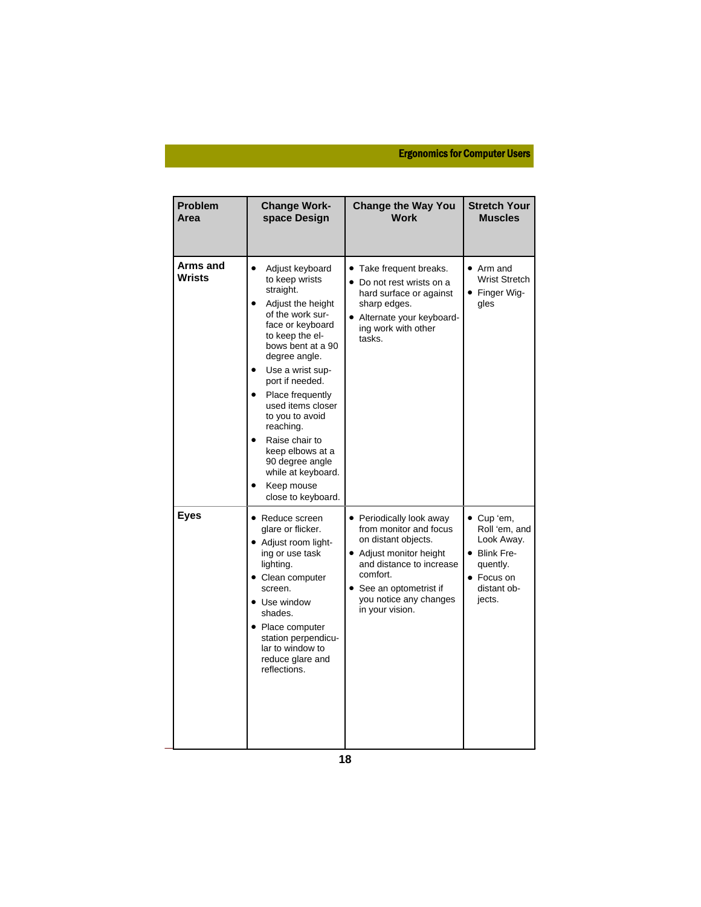| Problem<br>Area    | <b>Change Work-</b><br>space Design                                                                                                                                                                                                                                                                                                                                                                                  | <b>Change the Way You</b><br><b>Work</b>                                                                                                                                                                             | <b>Stretch Your</b><br><b>Muscles</b>                                                                        |
|--------------------|----------------------------------------------------------------------------------------------------------------------------------------------------------------------------------------------------------------------------------------------------------------------------------------------------------------------------------------------------------------------------------------------------------------------|----------------------------------------------------------------------------------------------------------------------------------------------------------------------------------------------------------------------|--------------------------------------------------------------------------------------------------------------|
| Arms and<br>Wrists | $\bullet$<br>Adjust keyboard<br>to keep wrists<br>straight.<br>Adjust the height<br>of the work sur-<br>face or keyboard<br>to keep the el-<br>bows bent at a 90<br>degree angle.<br>Use a wrist sup-<br>port if needed.<br>Place frequently<br>used items closer<br>to you to avoid<br>reaching.<br>Raise chair to<br>keep elbows at a<br>90 degree angle<br>while at keyboard.<br>Keep mouse<br>close to keyboard. | Take frequent breaks.<br>• Do not rest wrists on a<br>hard surface or against<br>sharp edges.<br>• Alternate your keyboard-<br>ing work with other<br>tasks.                                                         | $\bullet$ Arm and<br><b>Wrist Stretch</b><br>• Finger Wig-<br>gles                                           |
| <b>Eyes</b>        | • Reduce screen<br>glare or flicker.<br>• Adjust room light-<br>ing or use task<br>lighting.<br>• Clean computer<br>screen.<br>• Use window<br>shades.<br>• Place computer<br>station perpendicu-<br>lar to window to<br>reduce glare and<br>reflections.                                                                                                                                                            | • Periodically look away<br>from monitor and focus<br>on distant objects.<br>• Adjust monitor height<br>and distance to increase<br>comfort.<br>• See an optometrist if<br>you notice any changes<br>in your vision. | • Cup 'em,<br>Roll 'em, and<br>Look Away.<br>• Blink Fre-<br>quently.<br>• Focus on<br>distant ob-<br>jects. |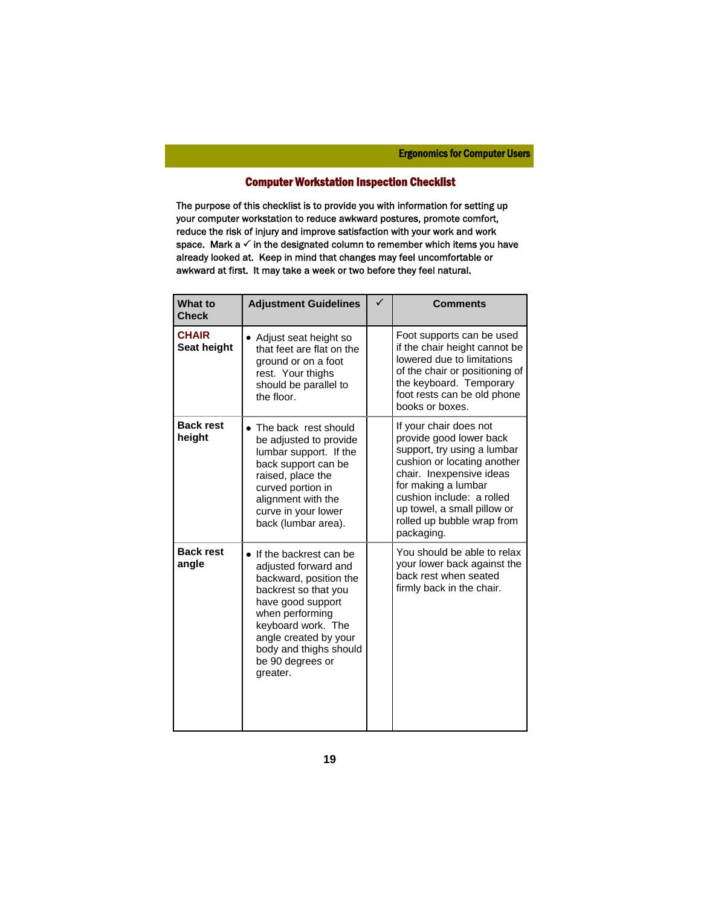## Computer Workstation Inspection Checklist

The purpose of this checklist is to provide you with information for setting up your computer workstation to reduce awkward postures, promote comfort, reduce the risk of injury and improve satisfaction with your work and work space. Mark a  $\checkmark$  in the designated column to remember which items you have already looked at. Keep in mind that changes may feel uncomfortable or awkward at first. It may take a week or two before they feel natural.

| <b>What to</b><br><b>Check</b> | <b>Adjustment Guidelines</b>                                                                                                                                                                                                                        | ✓ | <b>Comments</b>                                                                                                                                                                                                                                                            |
|--------------------------------|-----------------------------------------------------------------------------------------------------------------------------------------------------------------------------------------------------------------------------------------------------|---|----------------------------------------------------------------------------------------------------------------------------------------------------------------------------------------------------------------------------------------------------------------------------|
| <b>CHAIR</b><br>Seat height    | • Adjust seat height so<br>that feet are flat on the<br>ground or on a foot<br>rest. Your thighs<br>should be parallel to<br>the floor.                                                                                                             |   | Foot supports can be used<br>if the chair height cannot be<br>lowered due to limitations<br>of the chair or positioning of<br>the keyboard. Temporary<br>foot rests can be old phone<br>books or boxes.                                                                    |
| <b>Back rest</b><br>height     | • The back rest should<br>be adjusted to provide<br>lumbar support. If the<br>back support can be<br>raised, place the<br>curved portion in<br>alignment with the<br>curve in your lower<br>back (lumbar area).                                     |   | If your chair does not<br>provide good lower back<br>support, try using a lumbar<br>cushion or locating another<br>chair. Inexpensive ideas<br>for making a lumbar<br>cushion include: a rolled<br>up towel, a small pillow or<br>rolled up bubble wrap from<br>packaging. |
| <b>Back rest</b><br>angle      | • If the backrest can be<br>adjusted forward and<br>backward, position the<br>backrest so that you<br>have good support<br>when performing<br>keyboard work. The<br>angle created by your<br>body and thighs should<br>be 90 degrees or<br>greater. |   | You should be able to relax<br>your lower back against the<br>back rest when seated<br>firmly back in the chair.                                                                                                                                                           |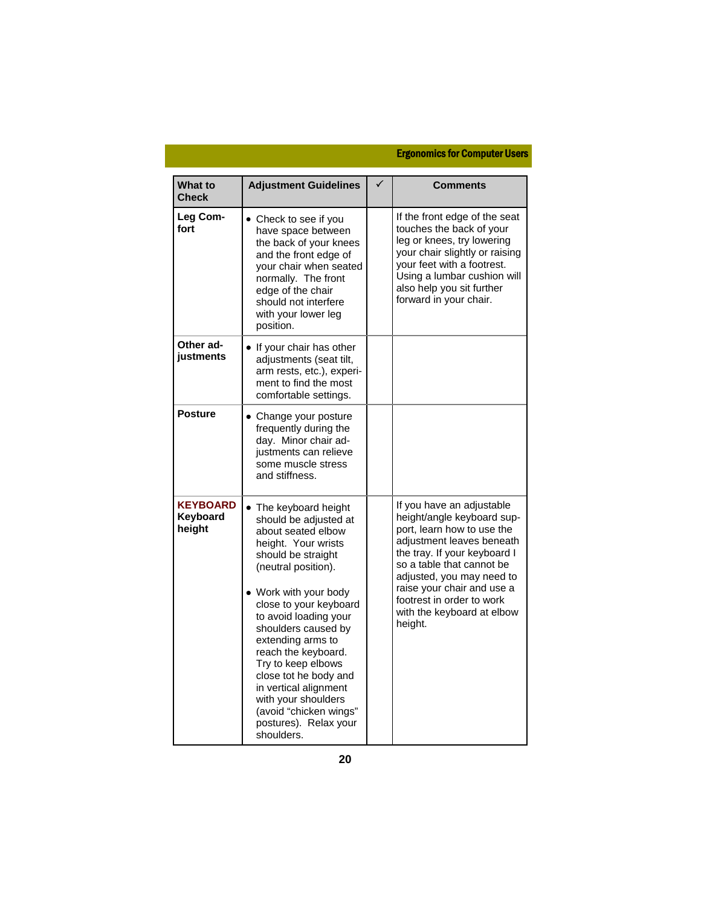| <b>What to</b><br><b>Check</b>        | <b>Adjustment Guidelines</b>                                                                                                                                                                                                                                                                                                                                                                                                                            | <b>Comments</b>                                                                                                                                                                                                                                                                                                  |
|---------------------------------------|---------------------------------------------------------------------------------------------------------------------------------------------------------------------------------------------------------------------------------------------------------------------------------------------------------------------------------------------------------------------------------------------------------------------------------------------------------|------------------------------------------------------------------------------------------------------------------------------------------------------------------------------------------------------------------------------------------------------------------------------------------------------------------|
| Leg Com-<br>fort                      | • Check to see if you<br>have space between<br>the back of your knees<br>and the front edge of<br>your chair when seated<br>normally. The front<br>edge of the chair<br>should not interfere<br>with your lower leg<br>position.                                                                                                                                                                                                                        | If the front edge of the seat<br>touches the back of your<br>leg or knees, try lowering<br>your chair slightly or raising<br>your feet with a footrest.<br>Using a lumbar cushion will<br>also help you sit further<br>forward in your chair.                                                                    |
| Other ad-<br>justments                | • If your chair has other<br>adjustments (seat tilt,<br>arm rests, etc.), experi-<br>ment to find the most<br>comfortable settings.                                                                                                                                                                                                                                                                                                                     |                                                                                                                                                                                                                                                                                                                  |
| <b>Posture</b>                        | • Change your posture<br>frequently during the<br>day. Minor chair ad-<br>justments can relieve<br>some muscle stress<br>and stiffness.                                                                                                                                                                                                                                                                                                                 |                                                                                                                                                                                                                                                                                                                  |
| <b>KEYBOARD</b><br>Keyboard<br>height | • The keyboard height<br>should be adjusted at<br>about seated elbow<br>height. Your wrists<br>should be straight<br>(neutral position).<br>• Work with your body<br>close to your keyboard<br>to avoid loading your<br>shoulders caused by<br>extending arms to<br>reach the keyboard.<br>Try to keep elbows<br>close tot he body and<br>in vertical alignment<br>with your shoulders<br>(avoid "chicken wings"<br>postures). Relax your<br>shoulders. | If you have an adjustable<br>height/angle keyboard sup-<br>port, learn how to use the<br>adjustment leaves beneath<br>the tray. If your keyboard I<br>so a table that cannot be<br>adjusted, you may need to<br>raise your chair and use a<br>footrest in order to work<br>with the keyboard at elbow<br>height. |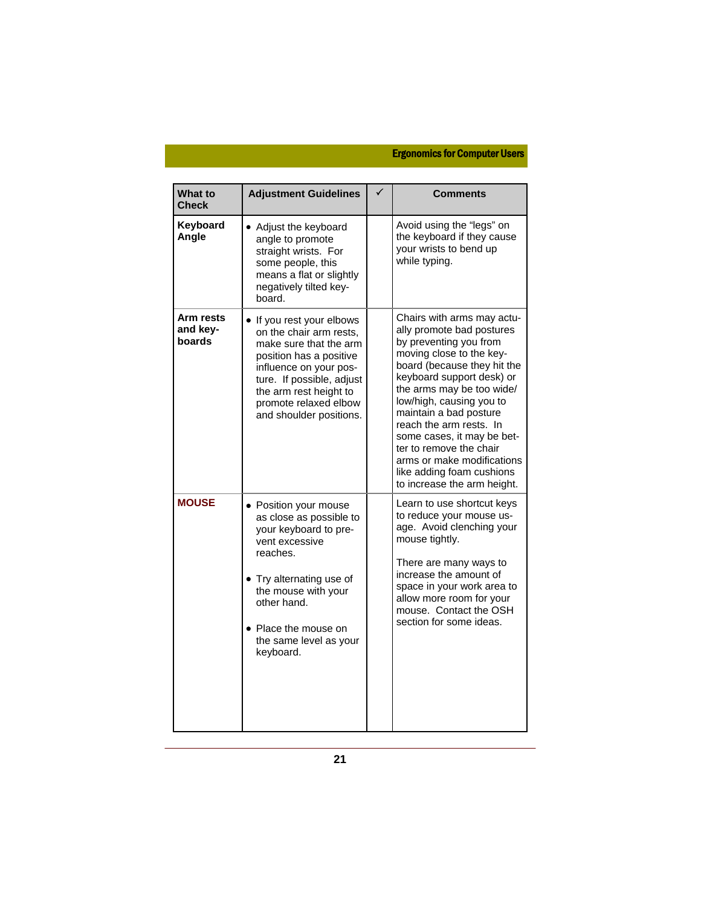| What to<br><b>Check</b>         | <b>Adjustment Guidelines</b>                                                                                                                                                                                                                   | ✓ | <b>Comments</b>                                                                                                                                                                                                                                                                                                                                                                                                                            |
|---------------------------------|------------------------------------------------------------------------------------------------------------------------------------------------------------------------------------------------------------------------------------------------|---|--------------------------------------------------------------------------------------------------------------------------------------------------------------------------------------------------------------------------------------------------------------------------------------------------------------------------------------------------------------------------------------------------------------------------------------------|
| Keyboard<br>Angle               | • Adjust the keyboard<br>angle to promote<br>straight wrists. For<br>some people, this<br>means a flat or slightly<br>negatively tilted key-<br>board.                                                                                         |   | Avoid using the "legs" on<br>the keyboard if they cause<br>your wrists to bend up<br>while typing.                                                                                                                                                                                                                                                                                                                                         |
| Arm rests<br>and key-<br>boards | . If you rest your elbows<br>on the chair arm rests.<br>make sure that the arm<br>position has a positive<br>influence on your pos-<br>ture. If possible, adjust<br>the arm rest height to<br>promote relaxed elbow<br>and shoulder positions. |   | Chairs with arms may actu-<br>ally promote bad postures<br>by preventing you from<br>moving close to the key-<br>board (because they hit the<br>keyboard support desk) or<br>the arms may be too wide/<br>low/high, causing you to<br>maintain a bad posture<br>reach the arm rests. In<br>some cases, it may be bet-<br>ter to remove the chair<br>arms or make modifications<br>like adding foam cushions<br>to increase the arm height. |
| <b>MOUSE</b>                    | • Position your mouse<br>as close as possible to<br>your keyboard to pre-<br>vent excessive<br>reaches.<br>• Try alternating use of<br>the mouse with your<br>other hand.<br>• Place the mouse on<br>the same level as your<br>keyboard.       |   | Learn to use shortcut keys<br>to reduce your mouse us-<br>age. Avoid clenching your<br>mouse tightly.<br>There are many ways to<br>increase the amount of<br>space in your work area to<br>allow more room for your<br>mouse. Contact the OSH<br>section for some ideas.                                                                                                                                                                   |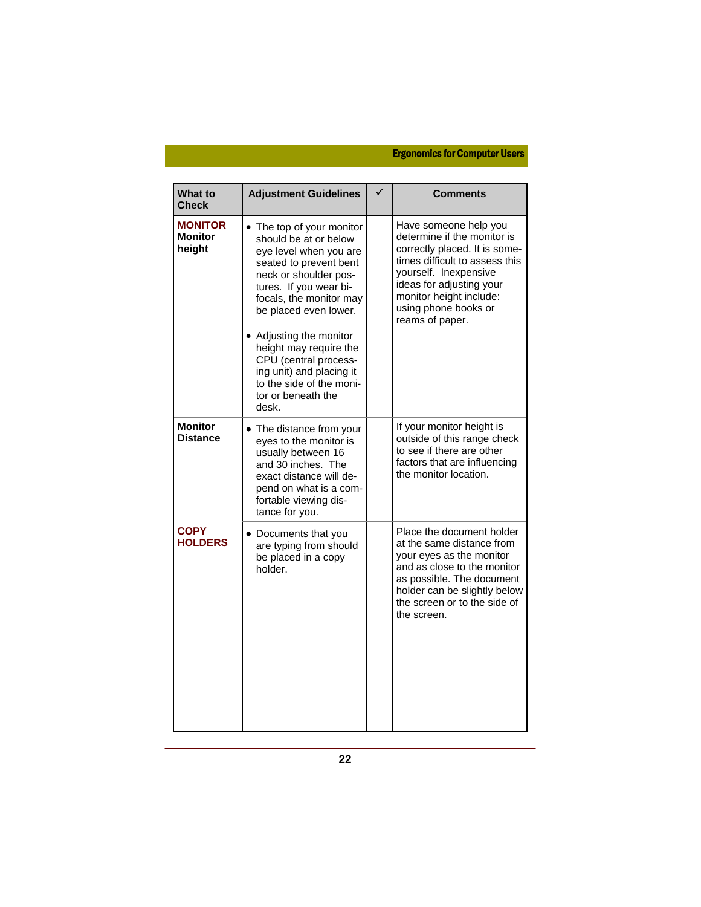| <b>What to</b><br><b>Check</b>             | <b>Adjustment Guidelines</b>                                                                                                                                                                                                                                                                                                                                                       | <b>Comments</b>                                                                                                                                                                                                                                    |
|--------------------------------------------|------------------------------------------------------------------------------------------------------------------------------------------------------------------------------------------------------------------------------------------------------------------------------------------------------------------------------------------------------------------------------------|----------------------------------------------------------------------------------------------------------------------------------------------------------------------------------------------------------------------------------------------------|
| <b>MONITOR</b><br><b>Monitor</b><br>height | • The top of your monitor<br>should be at or below<br>eye level when you are<br>seated to prevent bent<br>neck or shoulder pos-<br>tures. If you wear bi-<br>focals, the monitor may<br>be placed even lower.<br>• Adjusting the monitor<br>height may require the<br>CPU (central process-<br>ing unit) and placing it<br>to the side of the moni-<br>tor or beneath the<br>desk. | Have someone help you<br>determine if the monitor is<br>correctly placed. It is some-<br>times difficult to assess this<br>yourself. Inexpensive<br>ideas for adjusting your<br>monitor height include:<br>using phone books or<br>reams of paper. |
| <b>Monitor</b><br><b>Distance</b>          | • The distance from your<br>eyes to the monitor is<br>usually between 16<br>and 30 inches. The<br>exact distance will de-<br>pend on what is a com-<br>fortable viewing dis-<br>tance for you.                                                                                                                                                                                     | If your monitor height is<br>outside of this range check<br>to see if there are other<br>factors that are influencing<br>the monitor location.                                                                                                     |
| <b>COPY</b><br><b>HOLDERS</b>              | • Documents that you<br>are typing from should<br>be placed in a copy<br>holder.                                                                                                                                                                                                                                                                                                   | Place the document holder<br>at the same distance from<br>your eyes as the monitor<br>and as close to the monitor<br>as possible. The document<br>holder can be slightly below<br>the screen or to the side of<br>the screen.                      |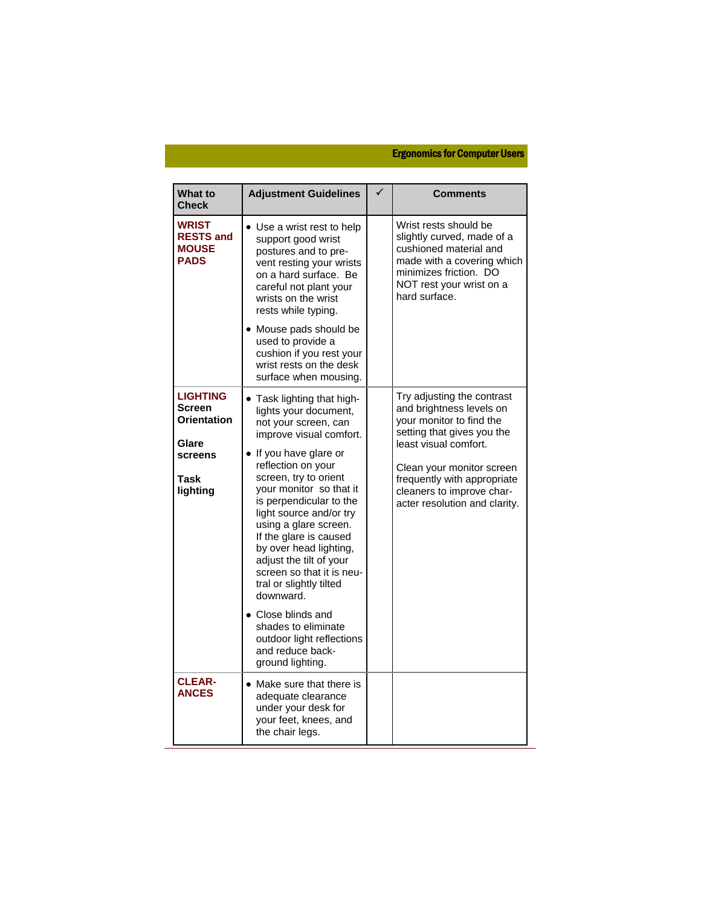| <b>What to</b><br><b>Check</b>                                                                 | <b>Adjustment Guidelines</b>                                                                                                                                                                                                                                                                                                                                                                                                                                                                       | Comments                                                                                                                                                                                                                                                            |
|------------------------------------------------------------------------------------------------|----------------------------------------------------------------------------------------------------------------------------------------------------------------------------------------------------------------------------------------------------------------------------------------------------------------------------------------------------------------------------------------------------------------------------------------------------------------------------------------------------|---------------------------------------------------------------------------------------------------------------------------------------------------------------------------------------------------------------------------------------------------------------------|
| <b>WRIST</b><br><b>RESTS and</b><br><b>MOUSE</b><br><b>PADS</b>                                | • Use a wrist rest to help<br>support good wrist<br>postures and to pre-<br>vent resting your wrists<br>on a hard surface. Be<br>careful not plant your<br>wrists on the wrist<br>rests while typing.<br>• Mouse pads should be                                                                                                                                                                                                                                                                    | Wrist rests should be<br>slightly curved, made of a<br>cushioned material and<br>made with a covering which<br>minimizes friction. DO<br>NOT rest your wrist on a<br>hard surface.                                                                                  |
|                                                                                                | used to provide a<br>cushion if you rest your<br>wrist rests on the desk<br>surface when mousing.                                                                                                                                                                                                                                                                                                                                                                                                  |                                                                                                                                                                                                                                                                     |
| <b>LIGHTING</b><br><b>Screen</b><br><b>Orientation</b><br>Glare<br>screens<br>Task<br>lighting | • Task lighting that high-<br>lights your document,<br>not your screen, can<br>improve visual comfort.<br>• If you have glare or<br>reflection on your<br>screen, try to orient<br>your monitor so that it<br>is perpendicular to the<br>light source and/or try<br>using a glare screen.<br>If the glare is caused<br>by over head lighting,<br>adjust the tilt of your<br>screen so that it is neu-<br>tral or slightly tilted<br>downward.<br>$\bullet$ Close blinds and<br>shades to eliminate | Try adjusting the contrast<br>and brightness levels on<br>your monitor to find the<br>setting that gives you the<br>least visual comfort.<br>Clean your monitor screen<br>frequently with appropriate<br>cleaners to improve char-<br>acter resolution and clarity. |
|                                                                                                | outdoor light reflections<br>and reduce back-<br>ground lighting.                                                                                                                                                                                                                                                                                                                                                                                                                                  |                                                                                                                                                                                                                                                                     |
| <b>CLEAR-</b><br><b>ANCES</b>                                                                  | • Make sure that there is<br>adequate clearance<br>under your desk for<br>your feet, knees, and<br>the chair legs.                                                                                                                                                                                                                                                                                                                                                                                 |                                                                                                                                                                                                                                                                     |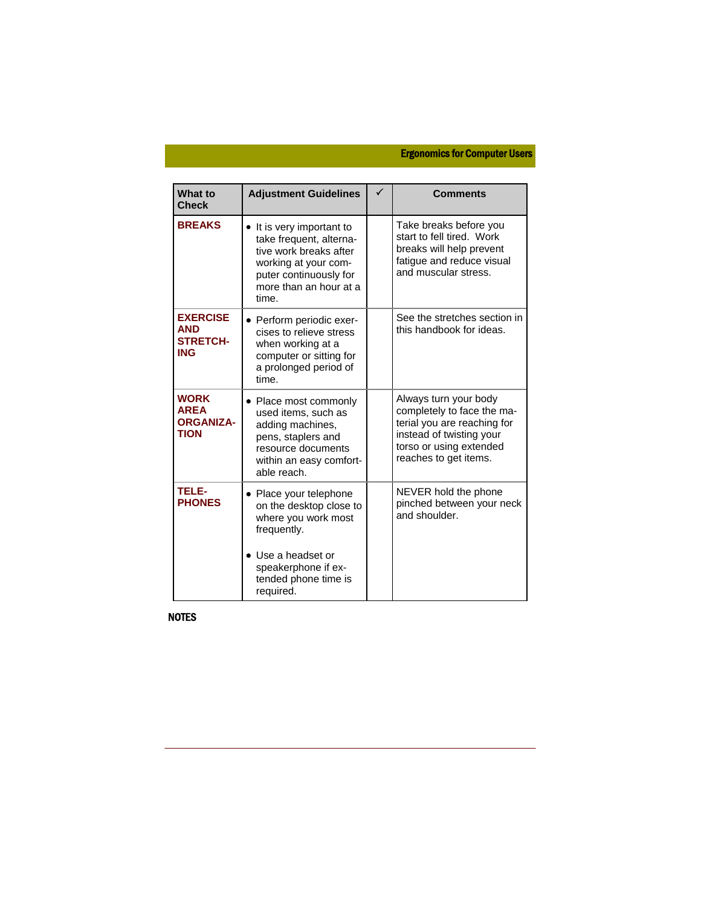| What to<br><b>Check</b>                                        | <b>Adjustment Guidelines</b>                                                                                                                                              | <b>Comments</b>                                                                                                                                                    |
|----------------------------------------------------------------|---------------------------------------------------------------------------------------------------------------------------------------------------------------------------|--------------------------------------------------------------------------------------------------------------------------------------------------------------------|
| <b>BREAKS</b>                                                  | • It is very important to<br>take frequent, alterna-<br>tive work breaks after<br>working at your com-<br>puter continuously for<br>more than an hour at a<br>time.       | Take breaks before you<br>start to fell tired. Work<br>breaks will help prevent<br>fatigue and reduce visual<br>and muscular stress.                               |
| <b>EXERCISE</b><br><b>AND</b><br><b>STRETCH-</b><br><b>ING</b> | • Perform periodic exer-<br>cises to relieve stress<br>when working at a<br>computer or sitting for<br>a prolonged period of<br>time.                                     | See the stretches section in<br>this handbook for ideas.                                                                                                           |
| <b>WORK</b><br><b>AREA</b><br><b>ORGANIZA-</b><br><b>TION</b>  | • Place most commonly<br>used items, such as<br>adding machines,<br>pens, staplers and<br>resource documents<br>within an easy comfort-<br>able reach.                    | Always turn your body<br>completely to face the ma-<br>terial you are reaching for<br>instead of twisting your<br>torso or using extended<br>reaches to get items. |
| <b>TELE-</b><br><b>PHONES</b>                                  | • Place your telephone<br>on the desktop close to<br>where you work most<br>frequently.<br>• Use a headset or<br>speakerphone if ex-<br>tended phone time is<br>required. | NEVER hold the phone<br>pinched between your neck<br>and shoulder.                                                                                                 |

NOTES